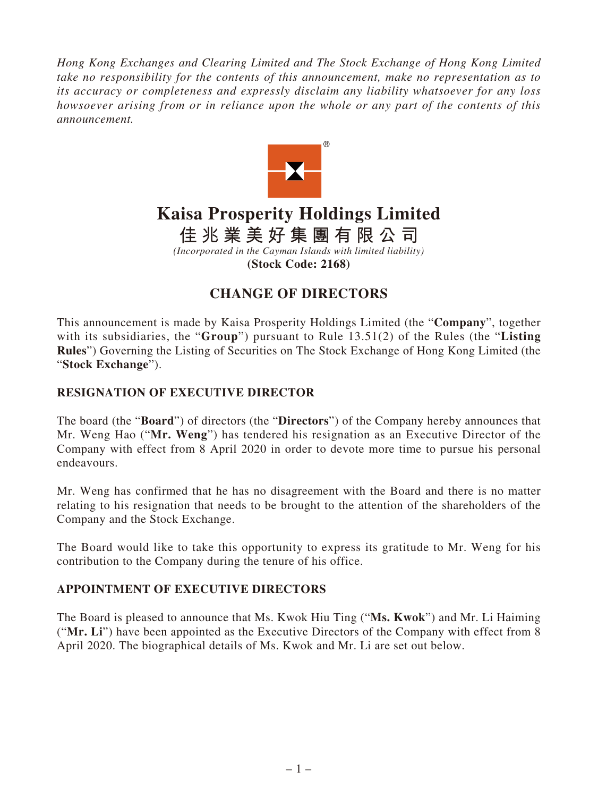*Hong Kong Exchanges and Clearing Limited and The Stock Exchange of Hong Kong Limited take no responsibility for the contents of this announcement, make no representation as to its accuracy or completeness and expressly disclaim any liability whatsoever for any loss howsoever arising from or in reliance upon the whole or any part of the contents of this announcement.*



# **Kaisa Prosperity Holdings Limited**

**佳兆業美好集團有限公司**

*(Incorporated in the Cayman Islands with limited liability)* **(Stock Code: 2168)**

# **CHANGE OF DIRECTORS**

This announcement is made by Kaisa Prosperity Holdings Limited (the "**Company**", together with its subsidiaries, the "**Group**") pursuant to Rule 13.51(2) of the Rules (the "**Listing Rules**") Governing the Listing of Securities on The Stock Exchange of Hong Kong Limited (the "**Stock Exchange**").

### **RESIGNATION OF EXECUTIVE DIRECTOR**

The board (the "**Board**") of directors (the "**Directors**") of the Company hereby announces that Mr. Weng Hao ("**Mr. Weng**") has tendered his resignation as an Executive Director of the Company with effect from 8 April 2020 in order to devote more time to pursue his personal endeavours.

Mr. Weng has confirmed that he has no disagreement with the Board and there is no matter relating to his resignation that needs to be brought to the attention of the shareholders of the Company and the Stock Exchange.

The Board would like to take this opportunity to express its gratitude to Mr. Weng for his contribution to the Company during the tenure of his office.

#### **APPOINTMENT OF EXECUTIVE DIRECTORS**

The Board is pleased to announce that Ms. Kwok Hiu Ting ("**Ms. Kwok**") and Mr. Li Haiming ("**Mr. Li**") have been appointed as the Executive Directors of the Company with effect from 8 April 2020. The biographical details of Ms. Kwok and Mr. Li are set out below.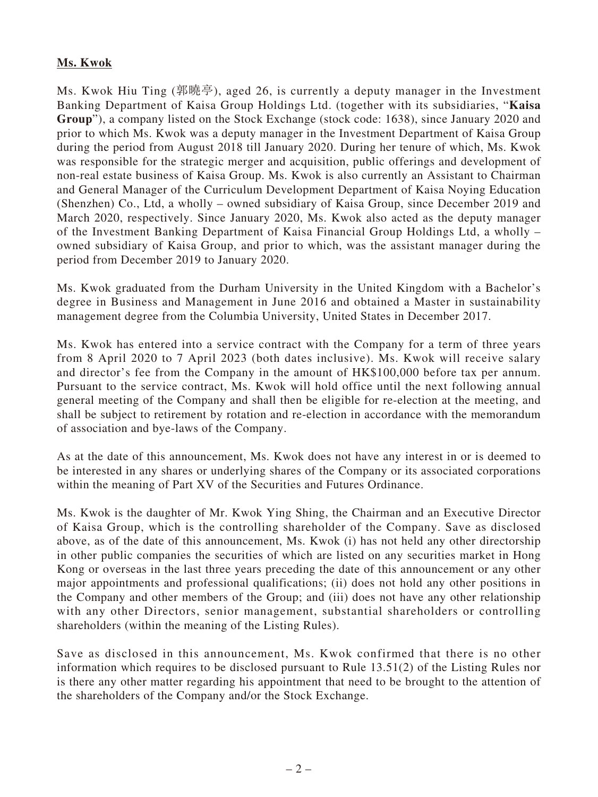#### **Ms. Kwok**

Ms. Kwok Hiu Ting (郭曉亭), aged 26, is currently a deputy manager in the Investment Banking Department of Kaisa Group Holdings Ltd. (together with its subsidiaries, "**Kaisa Group**"), a company listed on the Stock Exchange (stock code: 1638), since January 2020 and prior to which Ms. Kwok was a deputy manager in the Investment Department of Kaisa Group during the period from August 2018 till January 2020. During her tenure of which, Ms. Kwok was responsible for the strategic merger and acquisition, public offerings and development of non-real estate business of Kaisa Group. Ms. Kwok is also currently an Assistant to Chairman and General Manager of the Curriculum Development Department of Kaisa Noying Education (Shenzhen) Co., Ltd, a wholly – owned subsidiary of Kaisa Group, since December 2019 and March 2020, respectively. Since January 2020, Ms. Kwok also acted as the deputy manager of the Investment Banking Department of Kaisa Financial Group Holdings Ltd, a wholly – owned subsidiary of Kaisa Group, and prior to which, was the assistant manager during the period from December 2019 to January 2020.

Ms. Kwok graduated from the Durham University in the United Kingdom with a Bachelor's degree in Business and Management in June 2016 and obtained a Master in sustainability management degree from the Columbia University, United States in December 2017.

Ms. Kwok has entered into a service contract with the Company for a term of three years from 8 April 2020 to 7 April 2023 (both dates inclusive). Ms. Kwok will receive salary and director's fee from the Company in the amount of HK\$100,000 before tax per annum. Pursuant to the service contract, Ms. Kwok will hold office until the next following annual general meeting of the Company and shall then be eligible for re-election at the meeting, and shall be subject to retirement by rotation and re-election in accordance with the memorandum of association and bye-laws of the Company.

As at the date of this announcement, Ms. Kwok does not have any interest in or is deemed to be interested in any shares or underlying shares of the Company or its associated corporations within the meaning of Part XV of the Securities and Futures Ordinance.

Ms. Kwok is the daughter of Mr. Kwok Ying Shing, the Chairman and an Executive Director of Kaisa Group, which is the controlling shareholder of the Company. Save as disclosed above, as of the date of this announcement, Ms. Kwok (i) has not held any other directorship in other public companies the securities of which are listed on any securities market in Hong Kong or overseas in the last three years preceding the date of this announcement or any other major appointments and professional qualifications; (ii) does not hold any other positions in the Company and other members of the Group; and (iii) does not have any other relationship with any other Directors, senior management, substantial shareholders or controlling shareholders (within the meaning of the Listing Rules).

Save as disclosed in this announcement, Ms. Kwok confirmed that there is no other information which requires to be disclosed pursuant to Rule 13.51(2) of the Listing Rules nor is there any other matter regarding his appointment that need to be brought to the attention of the shareholders of the Company and/or the Stock Exchange.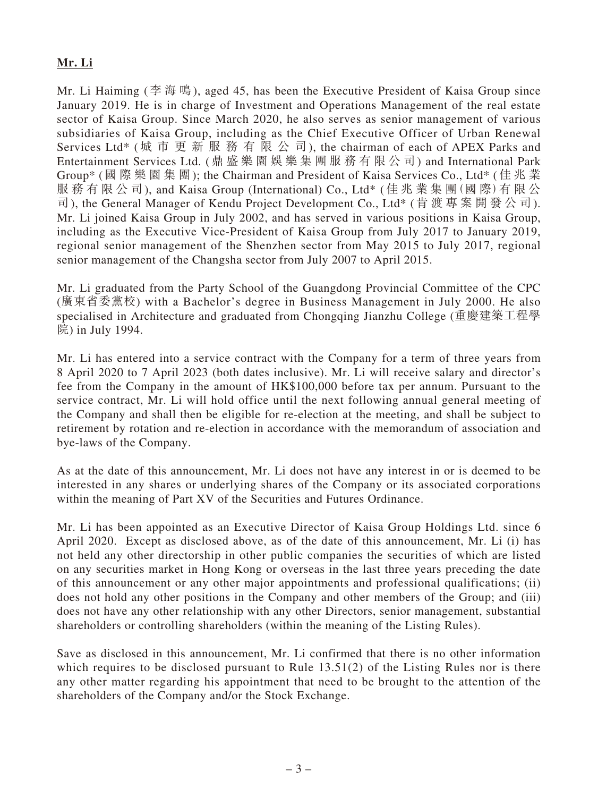## **Mr. Li**

Mr. Li Haiming (李海鳴), aged 45, has been the Executive President of Kaisa Group since January 2019. He is in charge of Investment and Operations Management of the real estate sector of Kaisa Group. Since March 2020, he also serves as senior management of various subsidiaries of Kaisa Group, including as the Chief Executive Officer of Urban Renewal Services Ltd\* (城市更新服務有限公司), the chairman of each of APEX Parks and Entertainment Services Ltd. (鼎盛樂園娛樂集團服務有限公司) and International Park Group\* (國際樂園集團); the Chairman and President of Kaisa Services Co., Ltd\* (佳兆業 服務有限公司), and Kaisa Group (International) Co., Ltd\* (佳兆業集團(國 際)有限公 司), the General Manager of Kendu Project Development Co., Ltd\* (肯渡專案開發公司). Mr. Li joined Kaisa Group in July 2002, and has served in various positions in Kaisa Group, including as the Executive Vice-President of Kaisa Group from July 2017 to January 2019, regional senior management of the Shenzhen sector from May 2015 to July 2017, regional senior management of the Changsha sector from July 2007 to April 2015.

Mr. Li graduated from the Party School of the Guangdong Provincial Committee of the CPC (廣東省委黨校) with a Bachelor's degree in Business Management in July 2000. He also specialised in Architecture and graduated from Chongqing Jianzhu College (重慶建築工程學 院) in July 1994.

Mr. Li has entered into a service contract with the Company for a term of three years from 8 April 2020 to 7 April 2023 (both dates inclusive). Mr. Li will receive salary and director's fee from the Company in the amount of HK\$100,000 before tax per annum. Pursuant to the service contract, Mr. Li will hold office until the next following annual general meeting of the Company and shall then be eligible for re-election at the meeting, and shall be subject to retirement by rotation and re-election in accordance with the memorandum of association and bye-laws of the Company.

As at the date of this announcement, Mr. Li does not have any interest in or is deemed to be interested in any shares or underlying shares of the Company or its associated corporations within the meaning of Part XV of the Securities and Futures Ordinance.

Mr. Li has been appointed as an Executive Director of Kaisa Group Holdings Ltd. since 6 April 2020. Except as disclosed above, as of the date of this announcement, Mr. Li (i) has not held any other directorship in other public companies the securities of which are listed on any securities market in Hong Kong or overseas in the last three years preceding the date of this announcement or any other major appointments and professional qualifications; (ii) does not hold any other positions in the Company and other members of the Group; and (iii) does not have any other relationship with any other Directors, senior management, substantial shareholders or controlling shareholders (within the meaning of the Listing Rules).

Save as disclosed in this announcement, Mr. Li confirmed that there is no other information which requires to be disclosed pursuant to Rule  $13.51(2)$  of the Listing Rules nor is there any other matter regarding his appointment that need to be brought to the attention of the shareholders of the Company and/or the Stock Exchange.